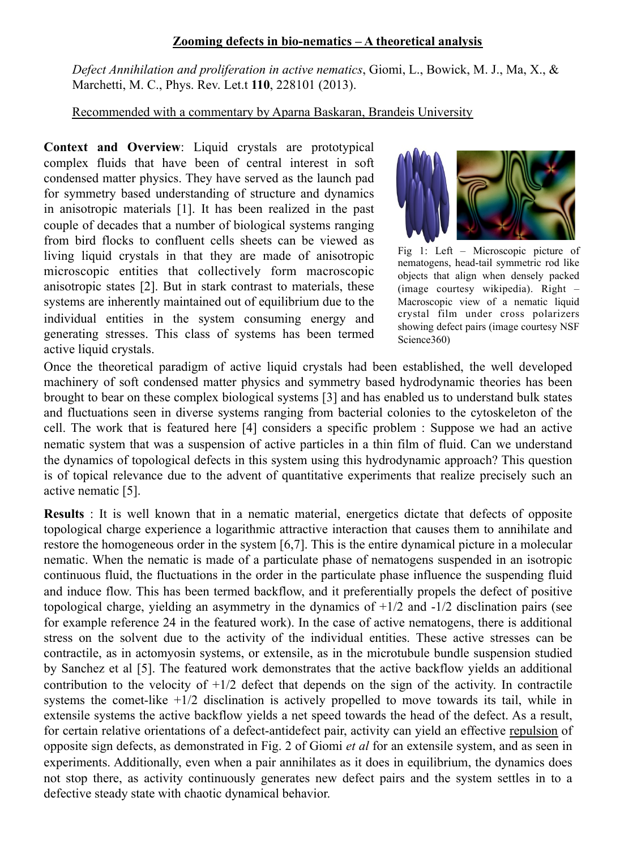## **Zooming defects in bio-nematics – A theoretical analysis**

*Defect Annihilation and proliferation in active nematics*, Giomi, L., Bowick, M. J., Ma, X., & Marchetti, M. C., Phys. Rev. Let.t **110**, 228101 (2013).

Recommended with a commentary by Aparna Baskaran, Brandeis University

**Context and Overview**: Liquid crystals are prototypical complex fluids that have been of central interest in soft condensed matter physics. They have served as the launch pad for symmetry based understanding of structure and dynamics in anisotropic materials [1]. It has been realized in the past couple of decades that a number of biological systems ranging from bird flocks to confluent cells sheets can be viewed as living liquid crystals in that they are made of anisotropic microscopic entities that collectively form macroscopic anisotropic states [2]. But in stark contrast to materials, these systems are inherently maintained out of equilibrium due to the individual entities in the system consuming energy and generating stresses. This class of systems has been termed active liquid crystals.



Fig 1: Left – Microscopic picture of nematogens, head-tail symmetric rod like objects that align when densely packed (image courtesy wikipedia). Right – Macroscopic view of a nematic liquid crystal film under cross polarizers showing defect pairs (image courtesy NSF Science360)

Once the theoretical paradigm of active liquid crystals had been established, the well developed machinery of soft condensed matter physics and symmetry based hydrodynamic theories has been brought to bear on these complex biological systems [3] and has enabled us to understand bulk states and fluctuations seen in diverse systems ranging from bacterial colonies to the cytoskeleton of the cell. The work that is featured here [4] considers a specific problem : Suppose we had an active nematic system that was a suspension of active particles in a thin film of fluid. Can we understand the dynamics of topological defects in this system using this hydrodynamic approach? This question is of topical relevance due to the advent of quantitative experiments that realize precisely such an active nematic [5].

**Results** : It is well known that in a nematic material, energetics dictate that defects of opposite topological charge experience a logarithmic attractive interaction that causes them to annihilate and restore the homogeneous order in the system [6,7]. This is the entire dynamical picture in a molecular nematic. When the nematic is made of a particulate phase of nematogens suspended in an isotropic continuous fluid, the fluctuations in the order in the particulate phase influence the suspending fluid and induce flow. This has been termed backflow, and it preferentially propels the defect of positive topological charge, yielding an asymmetry in the dynamics of  $+1/2$  and  $-1/2$  disclination pairs (see for example reference 24 in the featured work). In the case of active nematogens, there is additional stress on the solvent due to the activity of the individual entities. These active stresses can be contractile, as in actomyosin systems, or extensile, as in the microtubule bundle suspension studied by Sanchez et al [5]. The featured work demonstrates that the active backflow yields an additional contribution to the velocity of  $+1/2$  defect that depends on the sign of the activity. In contractile systems the comet-like +1/2 disclination is actively propelled to move towards its tail, while in extensile systems the active backflow yields a net speed towards the head of the defect. As a result, for certain relative orientations of a defect-antidefect pair, activity can yield an effective repulsion of opposite sign defects, as demonstrated in Fig. 2 of Giomi *et al* for an extensile system, and as seen in experiments. Additionally, even when a pair annihilates as it does in equilibrium, the dynamics does not stop there, as activity continuously generates new defect pairs and the system settles in to a defective steady state with chaotic dynamical behavior.